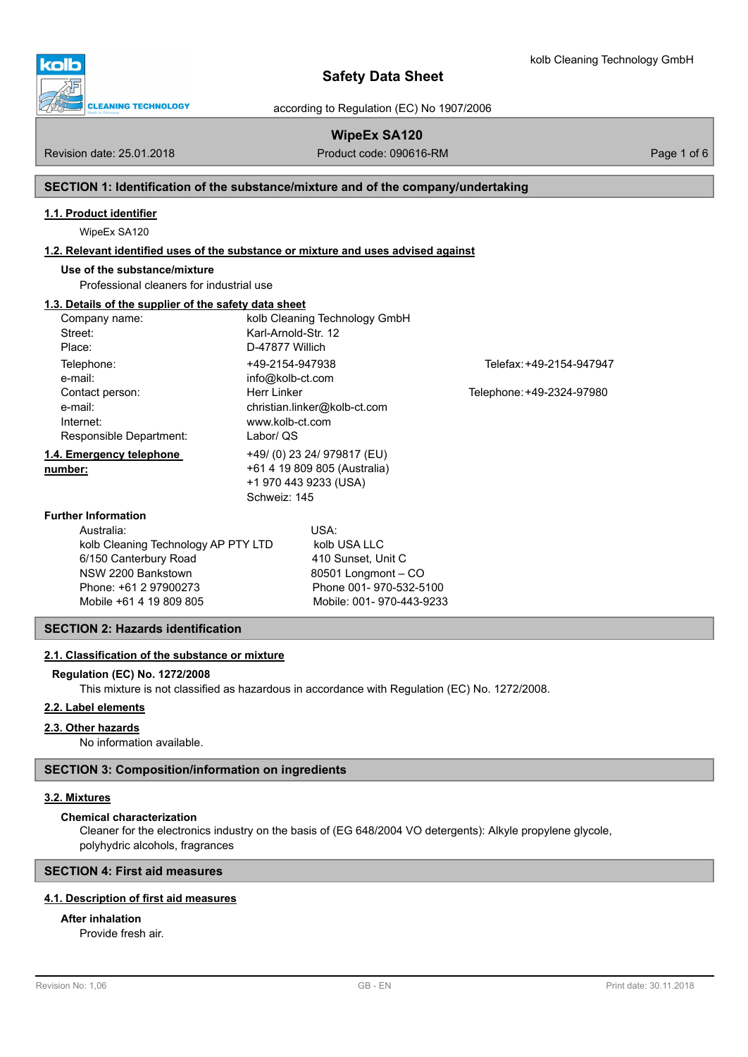

according to Regulation (EC) No 1907/2006

# **WipeEx SA120**

Revision date: 25.01.2018 **Product code: 090616-RM** Product code: 090616-RM Page 1 of 6

# **SECTION 1: Identification of the substance/mixture and of the company/undertaking**

# **1.1. Product identifier**

WipeEx SA120

# **1.2. Relevant identified uses of the substance or mixture and uses advised against**

# **Use of the substance/mixture**

Professional cleaners for industrial use

# **1.3. Details of the supplier of the safety data sheet**

| Company name:                       |                              | kolb Cleaning Technology GmbH |                           |  |
|-------------------------------------|------------------------------|-------------------------------|---------------------------|--|
| Street:                             | Karl-Arnold-Str. 12          |                               |                           |  |
| Place:                              | D-47877 Willich              |                               |                           |  |
| Telephone:                          | +49-2154-947938              |                               | Telefax: +49-2154-947947  |  |
| e-mail:                             | info@kolb-ct.com             |                               |                           |  |
| Contact person:                     | <b>Herr Linker</b>           |                               | Telephone: +49-2324-97980 |  |
| e-mail:                             |                              | christian.linker@kolb-ct.com  |                           |  |
| Internet:                           | www.kolb-ct.com              |                               |                           |  |
| Responsible Department:             |                              | Labor/ QS                     |                           |  |
| 1.4. Emergency telephone            |                              | +49/ (0) 23 24/ 979817 (EU)   |                           |  |
| number:                             | +61 4 19 809 805 (Australia) |                               |                           |  |
|                                     |                              | +1 970 443 9233 (USA)         |                           |  |
|                                     | Schweiz: 145                 |                               |                           |  |
| <b>Further Information</b>          |                              |                               |                           |  |
| Australia:                          |                              | USA:                          |                           |  |
| kolb Cleaning Technology AP PTY LTD |                              | kolb USA LLC                  |                           |  |
| 6/150 Canterbury Road               |                              | 410 Sunset, Unit C            |                           |  |
| NSW 2200 Bankstown                  |                              | 80501 Longmont - CO           |                           |  |
| Phone: +61 2 97900273               |                              | Phone 001-970-532-5100        |                           |  |
| Mobile +61 4 19 809 805             |                              | Mobile: 001-970-443-9233      |                           |  |

## **SECTION 2: Hazards identification**

### **2.1. Classification of the substance or mixture**

### **Regulation (EC) No. 1272/2008**

This mixture is not classified as hazardous in accordance with Regulation (EC) No. 1272/2008.

### **2.2. Label elements**

### **2.3. Other hazards**

No information available.

### **SECTION 3: Composition/information on ingredients**

### **3.2. Mixtures**

### **Chemical characterization**

Cleaner for the electronics industry on the basis of (EG 648/2004 VO detergents): Alkyle propylene glycole, polyhydric alcohols, fragrances

### **SECTION 4: First aid measures**

# **4.1. Description of first aid measures**

### **After inhalation**

Provide fresh air.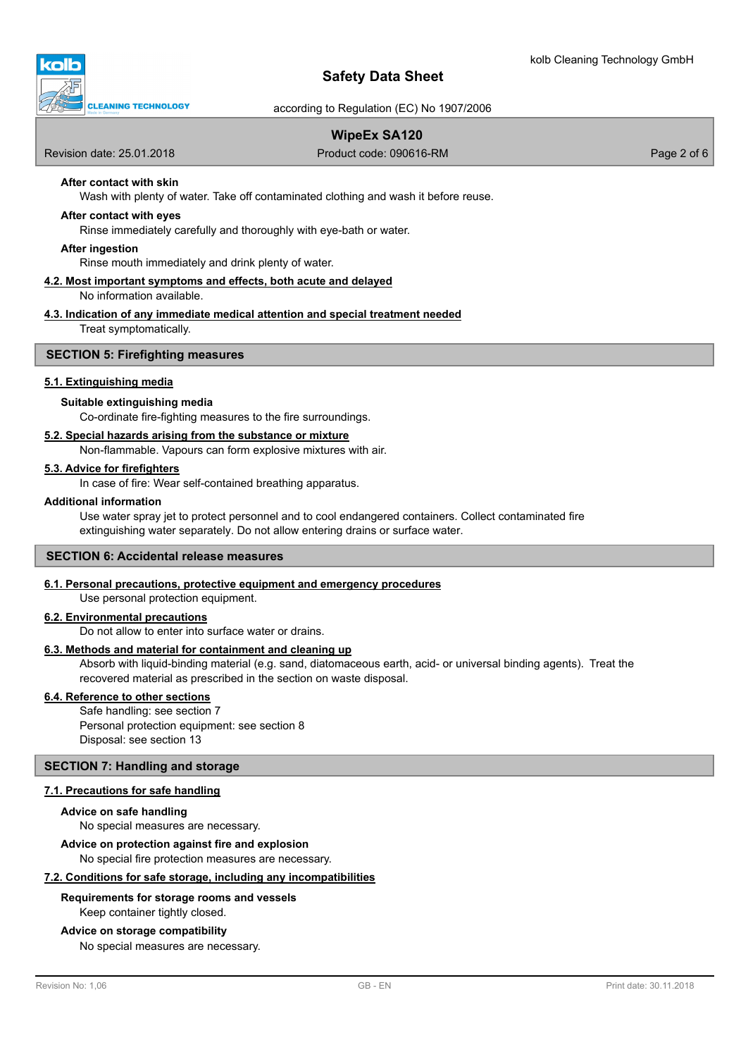

according to Regulation (EC) No 1907/2006

# **WipeEx SA120**

Revision date: 25.01.2018 Product code: 090616-RM Page 2 of 6

## **After contact with skin**

Wash with plenty of water. Take off contaminated clothing and wash it before reuse.

### **After contact with eyes**

Rinse immediately carefully and thoroughly with eye-bath or water.

#### **After ingestion**

Rinse mouth immediately and drink plenty of water.

#### **4.2. Most important symptoms and effects, both acute and delayed**

No information available.

#### **4.3. Indication of any immediate medical attention and special treatment needed**

Treat symptomatically.

### **SECTION 5: Firefighting measures**

#### **5.1. Extinguishing media**

### **Suitable extinguishing media**

Co-ordinate fire-fighting measures to the fire surroundings.

### **5.2. Special hazards arising from the substance or mixture**

Non-flammable. Vapours can form explosive mixtures with air.

### **5.3. Advice for firefighters**

In case of fire: Wear self-contained breathing apparatus.

#### **Additional information**

Use water spray jet to protect personnel and to cool endangered containers. Collect contaminated fire extinguishing water separately. Do not allow entering drains or surface water.

#### **SECTION 6: Accidental release measures**

#### **6.1. Personal precautions, protective equipment and emergency procedures**

Use personal protection equipment.

### **6.2. Environmental precautions**

Do not allow to enter into surface water or drains.

#### **6.3. Methods and material for containment and cleaning up**

Absorb with liquid-binding material (e.g. sand, diatomaceous earth, acid- or universal binding agents). Treat the recovered material as prescribed in the section on waste disposal.

#### **6.4. Reference to other sections**

Safe handling: see section 7 Personal protection equipment: see section 8 Disposal: see section 13

### **SECTION 7: Handling and storage**

## **7.1. Precautions for safe handling**

#### **Advice on safe handling**

No special measures are necessary.

#### **Advice on protection against fire and explosion**

No special fire protection measures are necessary.

#### **7.2. Conditions for safe storage, including any incompatibilities**

#### **Requirements for storage rooms and vessels**

Keep container tightly closed.

#### **Advice on storage compatibility**

No special measures are necessary.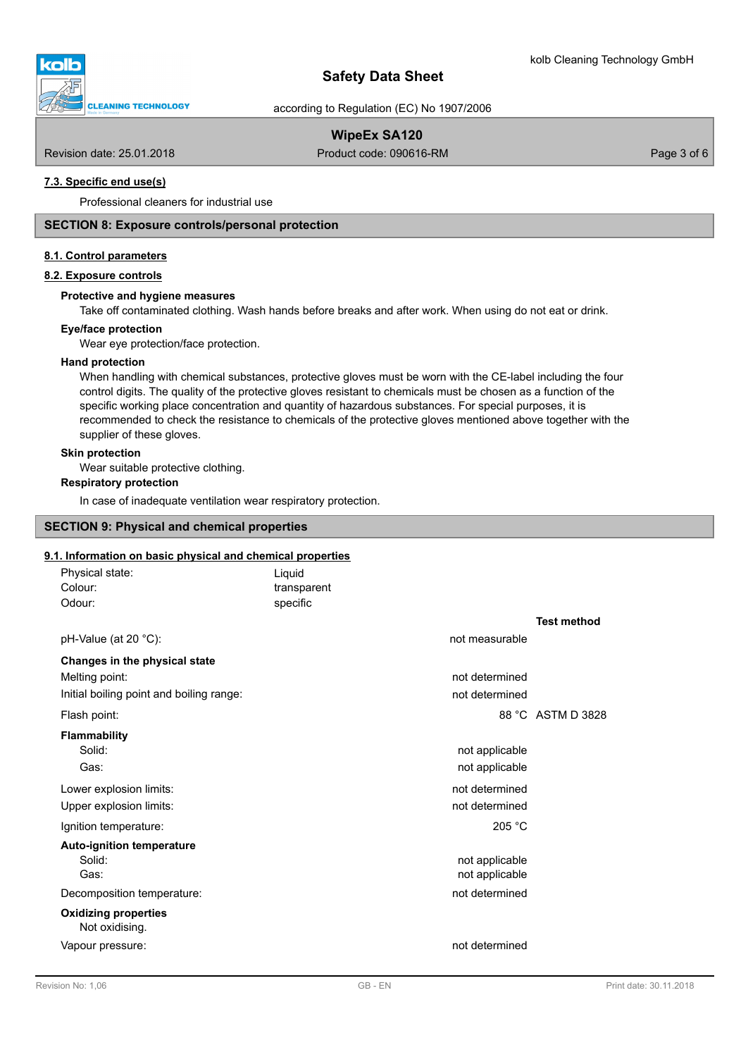



according to Regulation (EC) No 1907/2006

# **WipeEx SA120**

Revision date: 25.01.2018 **Product code: 090616-RM** Product code: 090616-RM Page 3 of 6

## **7.3. Specific end use(s)**

Professional cleaners for industrial use

### **SECTION 8: Exposure controls/personal protection**

### **8.1. Control parameters**

#### **8.2. Exposure controls**

### **Protective and hygiene measures**

Take off contaminated clothing. Wash hands before breaks and after work. When using do not eat or drink.

### **Eye/face protection**

Wear eye protection/face protection.

### **Hand protection**

When handling with chemical substances, protective gloves must be worn with the CE-label including the four control digits. The quality of the protective gloves resistant to chemicals must be chosen as a function of the specific working place concentration and quantity of hazardous substances. For special purposes, it is recommended to check the resistance to chemicals of the protective gloves mentioned above together with the supplier of these gloves.

### **Skin protection**

Wear suitable protective clothing.

## **Respiratory protection**

In case of inadequate ventilation wear respiratory protection.

# **SECTION 9: Physical and chemical properties**

#### **9.1. Information on basic physical and chemical properties**

| Physical state:<br>Colour:<br>Odour:     | Liquid<br>transparent<br>specific |                |                    |
|------------------------------------------|-----------------------------------|----------------|--------------------|
| pH-Value (at 20 °C):                     |                                   | not measurable | <b>Test method</b> |
|                                          |                                   |                |                    |
| Changes in the physical state            |                                   |                |                    |
| Melting point:                           |                                   | not determined |                    |
| Initial boiling point and boiling range: |                                   | not determined |                    |
| Flash point:                             |                                   |                | 88 °C ASTM D 3828  |
| Flammability                             |                                   |                |                    |
| Solid:                                   |                                   | not applicable |                    |
| Gas:                                     |                                   | not applicable |                    |
| Lower explosion limits:                  |                                   | not determined |                    |
| Upper explosion limits:                  |                                   | not determined |                    |
| Ignition temperature:                    |                                   | 205 °C         |                    |
| <b>Auto-ignition temperature</b>         |                                   |                |                    |
| Solid:                                   |                                   | not applicable |                    |
| Gas:                                     |                                   | not applicable |                    |
| Decomposition temperature:               |                                   | not determined |                    |
| <b>Oxidizing properties</b>              |                                   |                |                    |
| Not oxidising.                           |                                   |                |                    |
| Vapour pressure:                         |                                   | not determined |                    |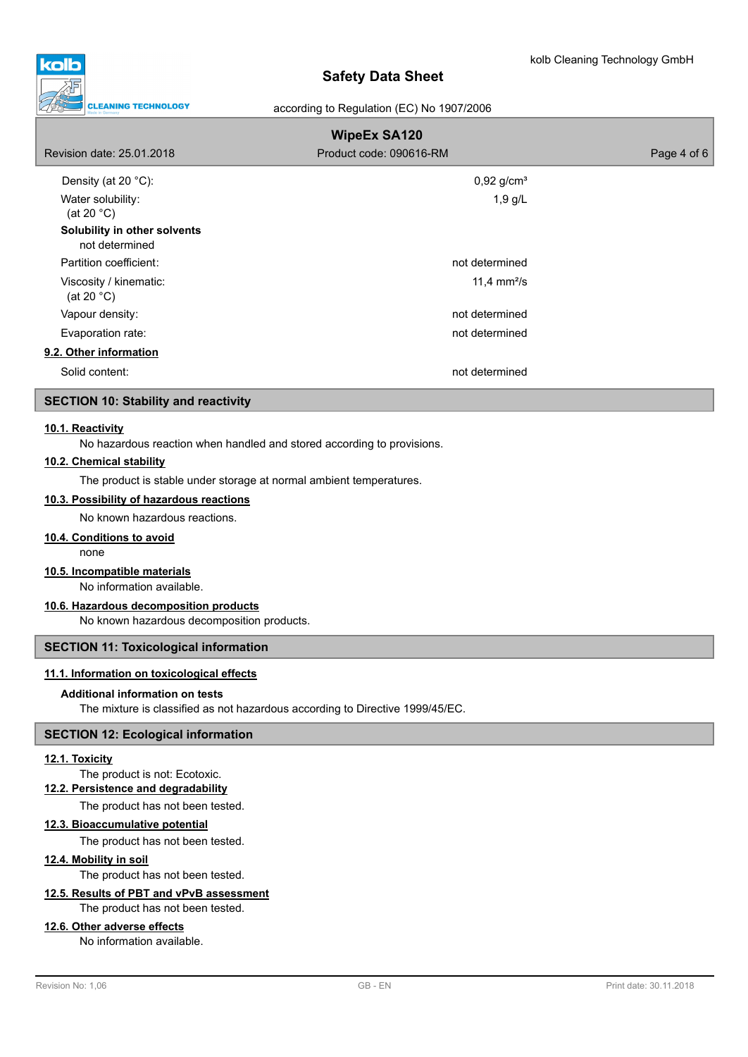

### according to Regulation (EC) No 1907/2006

| <b>WipeEx SA120</b>                            |                          |             |  |  |
|------------------------------------------------|--------------------------|-------------|--|--|
| Revision date: 25.01.2018                      | Product code: 090616-RM  | Page 4 of 6 |  |  |
| Density (at 20 $°C$ ):                         | $0,92$ g/cm <sup>3</sup> |             |  |  |
| Water solubility:<br>(at 20 $^{\circ}$ C)      | $1,9$ g/L                |             |  |  |
| Solubility in other solvents<br>not determined |                          |             |  |  |
| Partition coefficient:                         | not determined           |             |  |  |
| Viscosity / kinematic:<br>(at 20 $^{\circ}$ C) | 11,4 $mm^2/s$            |             |  |  |
| Vapour density:                                | not determined           |             |  |  |
| Evaporation rate:                              | not determined           |             |  |  |
| 9.2. Other information                         |                          |             |  |  |
| Solid content:                                 | not determined           |             |  |  |

## **SECTION 10: Stability and reactivity**

### **10.1. Reactivity**

No hazardous reaction when handled and stored according to provisions.

### **10.2. Chemical stability**

The product is stable under storage at normal ambient temperatures.

#### **10.3. Possibility of hazardous reactions**

No known hazardous reactions.

### **10.4. Conditions to avoid**

none

# **10.5. Incompatible materials**

No information available.

### **10.6. Hazardous decomposition products**

No known hazardous decomposition products.

### **SECTION 11: Toxicological information**

### **11.1. Information on toxicological effects**

#### **Additional information on tests**

The mixture is classified as not hazardous according to Directive 1999/45/EC.

#### **SECTION 12: Ecological information**

### **12.1. Toxicity**

The product is not: Ecotoxic.

### **12.2. Persistence and degradability**

The product has not been tested.

### **12.3. Bioaccumulative potential**

The product has not been tested.

# **12.4. Mobility in soil**

The product has not been tested.

# **12.5. Results of PBT and vPvB assessment**

The product has not been tested.

# **12.6. Other adverse effects**

No information available.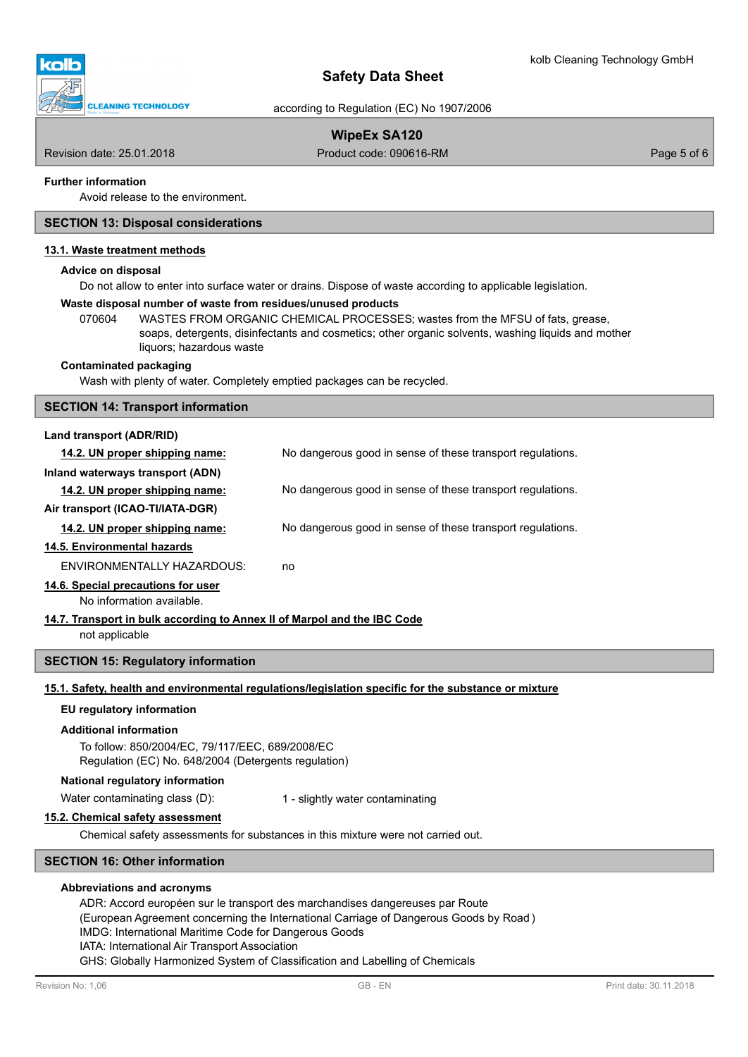



according to Regulation (EC) No 1907/2006

# **WipeEx SA120**

Revision date: 25.01.2018 **Product code: 090616-RM** Product code: 090616-RM Page 5 of 6

### **Further information**

Avoid release to the environment.

### **SECTION 13: Disposal considerations**

## **13.1. Waste treatment methods**

#### **Advice on disposal**

Do not allow to enter into surface water or drains. Dispose of waste according to applicable legislation.

#### **Waste disposal number of waste from residues/unused products**

070604 WASTES FROM ORGANIC CHEMICAL PROCESSES; wastes from the MFSU of fats, grease, soaps, detergents, disinfectants and cosmetics; other organic solvents, washing liquids and mother liquors; hazardous waste

#### **Contaminated packaging**

Wash with plenty of water. Completely emptied packages can be recycled.

#### **SECTION 14: Transport information**

### **Land transport (ADR/RID)**

| 14.2. UN proper shipping name:   | No dangerous good in sense of these transport regulations. |
|----------------------------------|------------------------------------------------------------|
| Inland waterways transport (ADN) |                                                            |
| 14.2. UN proper shipping name:   | No dangerous good in sense of these transport regulations. |
| Air transport (ICAO-TI/IATA-DGR) |                                                            |
| 14.2. UN proper shipping name:   | No dangerous good in sense of these transport regulations. |
| 14.5. Environmental hazards      |                                                            |
| ENVIRONMENTALLY HAZARDOUS:       | no                                                         |

### **14.6. Special precautions for user**

No information available.

**14.7. Transport in bulk according to Annex II of Marpol and the IBC Code**

not applicable

### **SECTION 15: Regulatory information**

### **15.1. Safety, health and environmental regulations/legislation specific for the substance or mixture**

#### **EU regulatory information**

#### **Additional information**

To follow: 850/2004/EC, 79/117/EEC, 689/2008/EC Regulation (EC) No. 648/2004 (Detergents regulation)

#### **National regulatory information**

Water contaminating class (D): 1 - slightly water contaminating

#### **15.2. Chemical safety assessment**

Chemical safety assessments for substances in this mixture were not carried out.

## **SECTION 16: Other information**

### **Abbreviations and acronyms**

ADR: Accord européen sur le transport des marchandises dangereuses par Route

(European Agreement concerning the International Carriage of Dangerous Goods by Road )

IMDG: International Maritime Code for Dangerous Goods

IATA: International Air Transport Association

GHS: Globally Harmonized System of Classification and Labelling of Chemicals